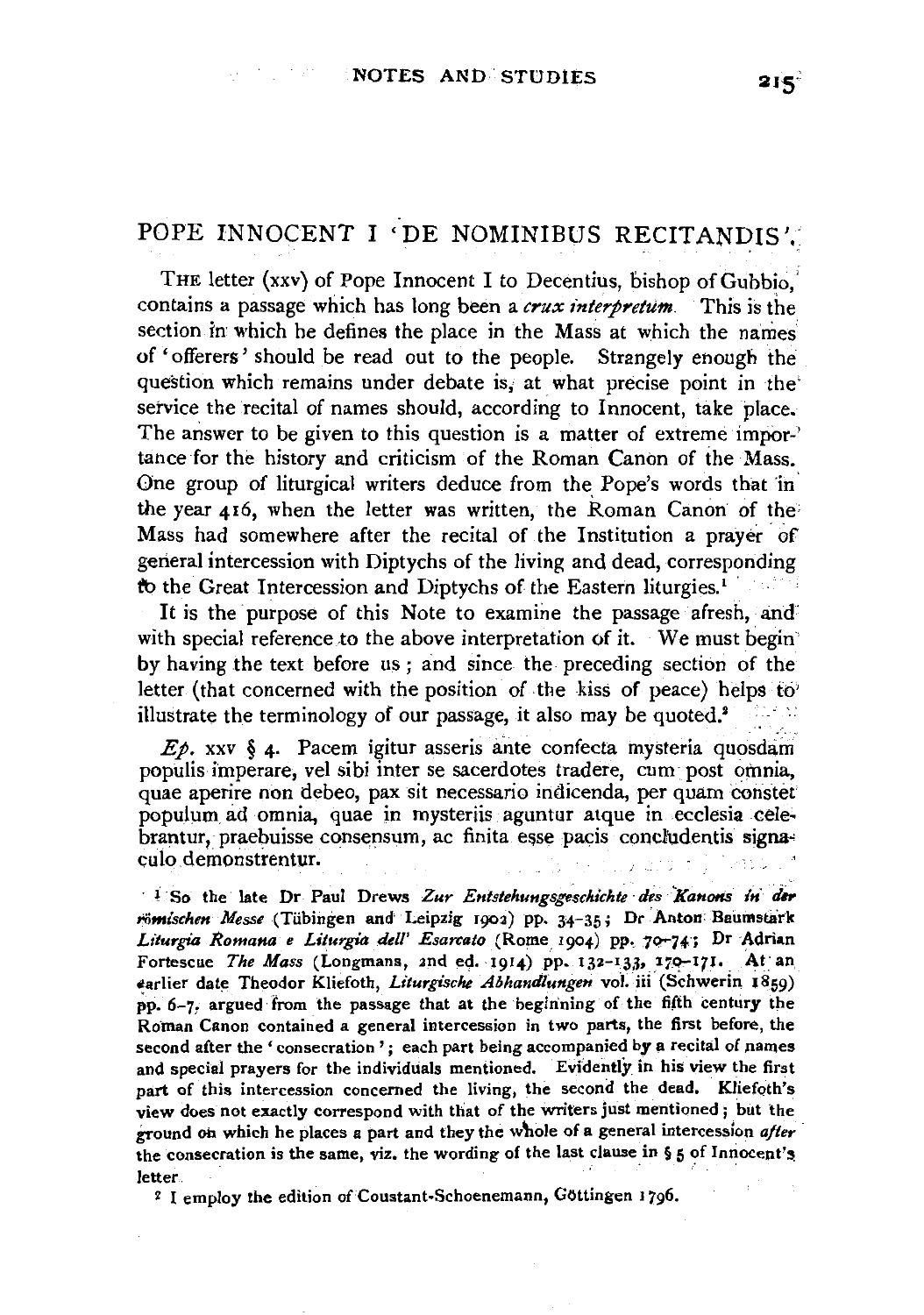# POPE INNOCENT I 'DE NOMINIBUS RECITANDIS'.

THE letter (xxv) of Pope Innocent I to Decentius, bishop of Gubbio. contains a passage which has long been a *crux interpretum.* This is the section in which he defines the place in the Mass at which the names of 'offerers' should be read out to the people. Strangely enough the question which remains under debate is, at what precise point in the service the recital of names should, according to Innocent, take place. The answer to be given to this question is a matter of extreme impor-' tance for the history and criticism of the Roman Canon of the Mass. One group of liturgical writers deduce from the Pope's words that in the year 416, when the letter was written, the Roman Canon of the Mass had somewhere after the recital of the Institution a prayer of gerieral intercession with Diptychs of the living and dead, corresponding fo the Great Intercession and Diptychs of the Eastern liturgies.<sup>1</sup>

It is the purpose of this Note to examine the passage afresh, and' with special reference to the above interpretation of it. We must begin by having the text before us; and since the preceding section of the letter (that concerned with the position of the kiss of peace) helps to illustrate the terminology of our passage, it also may be quoted.2

 $E\phi$ . xxv § 4. Pacem igitur asseris ante confecta mysteria quosdam populis imperare, vel sibi inter se sacerdotes tradere, cum· post omnia, quae aperire non debeo, pax sit necessaria indicenda, per quam constet populum ad omnia, quae in mysteriis aguntur atque in ecclesia cele· brantur, praebuisse consensum, ac finita esse pacis concludentis signaculo demonstrentur.

<sup>1</sup> So the late Dr Paul Drews Zur Entstehungsgeschichte des Kanons in der  $r$ ömischen Messe (Tübingen and Leipzig 1902) pp. 34-35; Dr Anton Baumstark Liturgia Romana e Liturgia dell' Esarcato (Rome 1904) pp. 70-74; Dr Adrian Fortescue *The Mass* (Longmans, 2nd ed. 1914) pp. 132-133, 170-17J. At an ttarlier date Theodor Kliefoth, *Liturgische Abhandlungen* vol: iii (Schwerin 1859) pp. 6-7, argued from the passage that at the beginning of the fifth century the Roman Canon contained a general intercession in two parts, the first before, the second after the 'consecration'; each part being accompanied by a recital of names and special prayers for the individuals mentioned. Evidently in his view the first part of this intercession concerned the living, the second the dead. Kliefoth's view does not exactly correspond with that of the Writers just mentioned ; but the ground on which he places a part and they the whole of a general intercession after the consecration is the same, viz. the wording of the last clause in  $\S$  5 of Innocent's letter.

<sup>2</sup> I employ the edition of Coustant-Schoenemann, Göttingen 1796.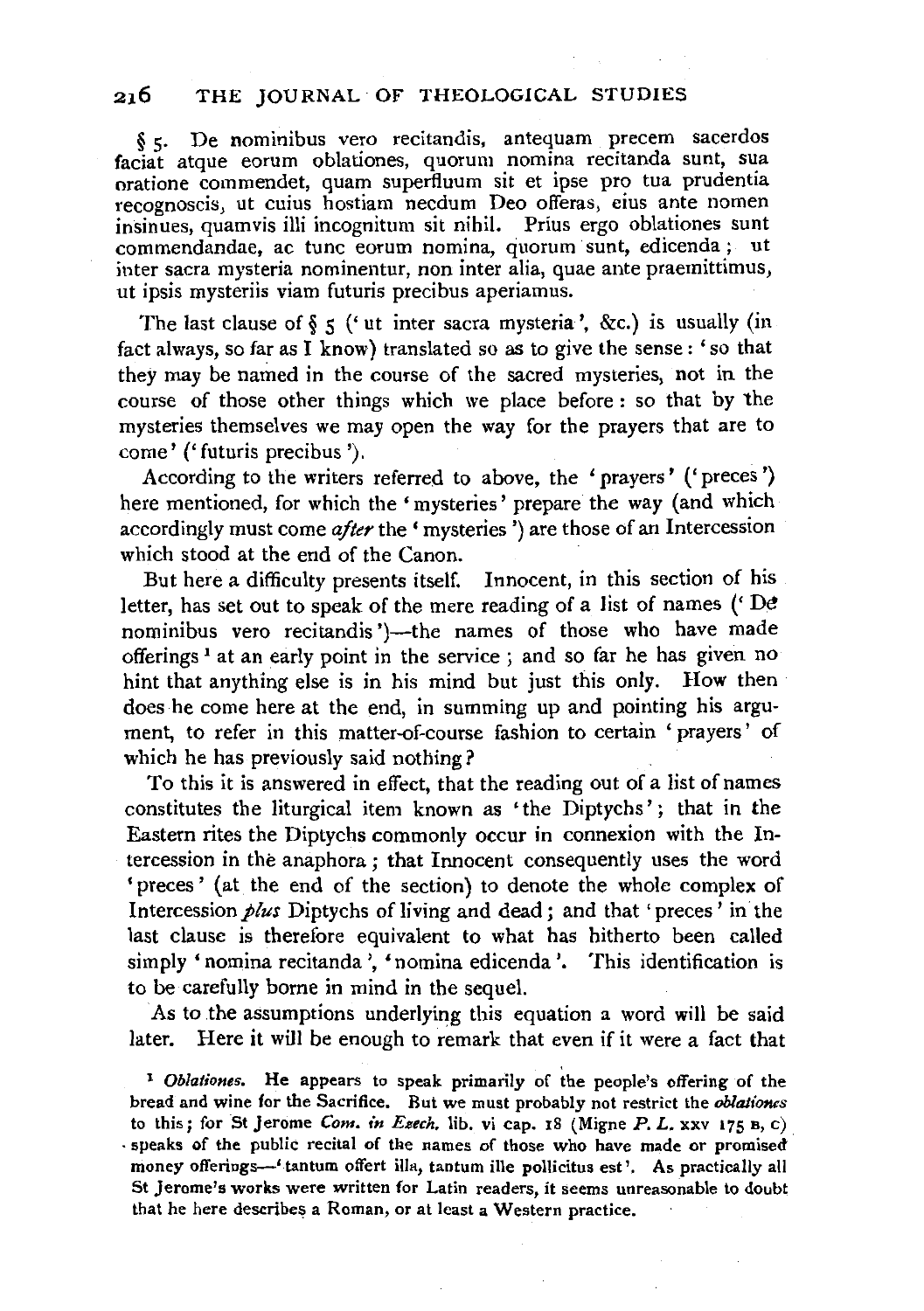§ 5· De nominibus vero recitandis, antequam precem sacerdos faciat atque eorum oblationes, quorum nomina recitanda sunt, sua oratione commendet, quam supertluum sit et ipse pro tua prudentia insinues, quamvis illi incognitum sit nihil. Prius ergo oblationes sunt commendandae, ac tunc eorum nomina, quorum sunt, edicenda ; ut inter sacra mysteria nominentur, non inter alia, quae ante praemittimus, ut ipsis mysteriis viam futuris precibus aperiamus.

The last clause of  $\S$  *5* ('ut inter sacra mysteria', &c.) is usually (in fact always, so far as I know) translated so as to give the sense: 'so that they may be named in the course of the sacred mysteries, not in the course of those other things which we place before : so that by the mysteries themselves we may open the way for the prayers that are to come' *('* futuris precibus ').

According to the writers referred to above, the 'prayers' (' preces ') here mentioned, for which the 'mysteries' prepare the way (and which accordingly must come *after* the 'mysteries ')are those of an Intercession which stood at the end of the Canon.

But here a difficulty presents itself. Innocent, in this section of his letter, has set out to speak of the mere reading of a list of names  $(')$  De nominibus vero recitandis ')-the names of those who have made offerings<sup>1</sup> at an early point in the service ; and so far he has given no hint that anything else is in his mind but just this only. How then does he come here at the end, in summing up and pointing his argument, to refer in this matter-of-course fashion to certain ' prayers' of which he has previously said nothing?

To this it is answered in effect, that the reading out of a list of names constitutes the liturgical item known as 'the Diptychs': that in the Eastern rites the Diptychs commonly occur in connexion with the Intercession in the anaphora ; that Innocent consequently uses the word 'preces' (at the end of the section) to denote the whole complex of Intercession *plus* Diptychs of living and dead; and that' preces' in the last clause is therefore equivalent to what has hitherto been called simply 'nomina recitanda ', 'nomina edicenda '. This identification is to be carefully borne in mind in the sequel.

As to the assumptions underlying this equation a word will be said later. Here it will be enough to remark that even if it were a fact that

<sup>1</sup>*Oblationes.* He appears to speak primarily of the people's offering of the bread and wine for the Sacrifice. But we must probably not restrict the *oblationes*  to this; for St Jerome *Com. in Esech*, lib. vi cap. 18 (Migne  $P$ ,  $L$ ,  $XXV$  175  $B$ , c) · speaks of the public recital of the names of those who have made or promised· money offerings—' tantum offert illa, tantum ille pollicitus est'. As practically all St Jerome's works were written for Latin readers, it seems unreasonable to doubt that he here describes a Roman, or at least a Western practice.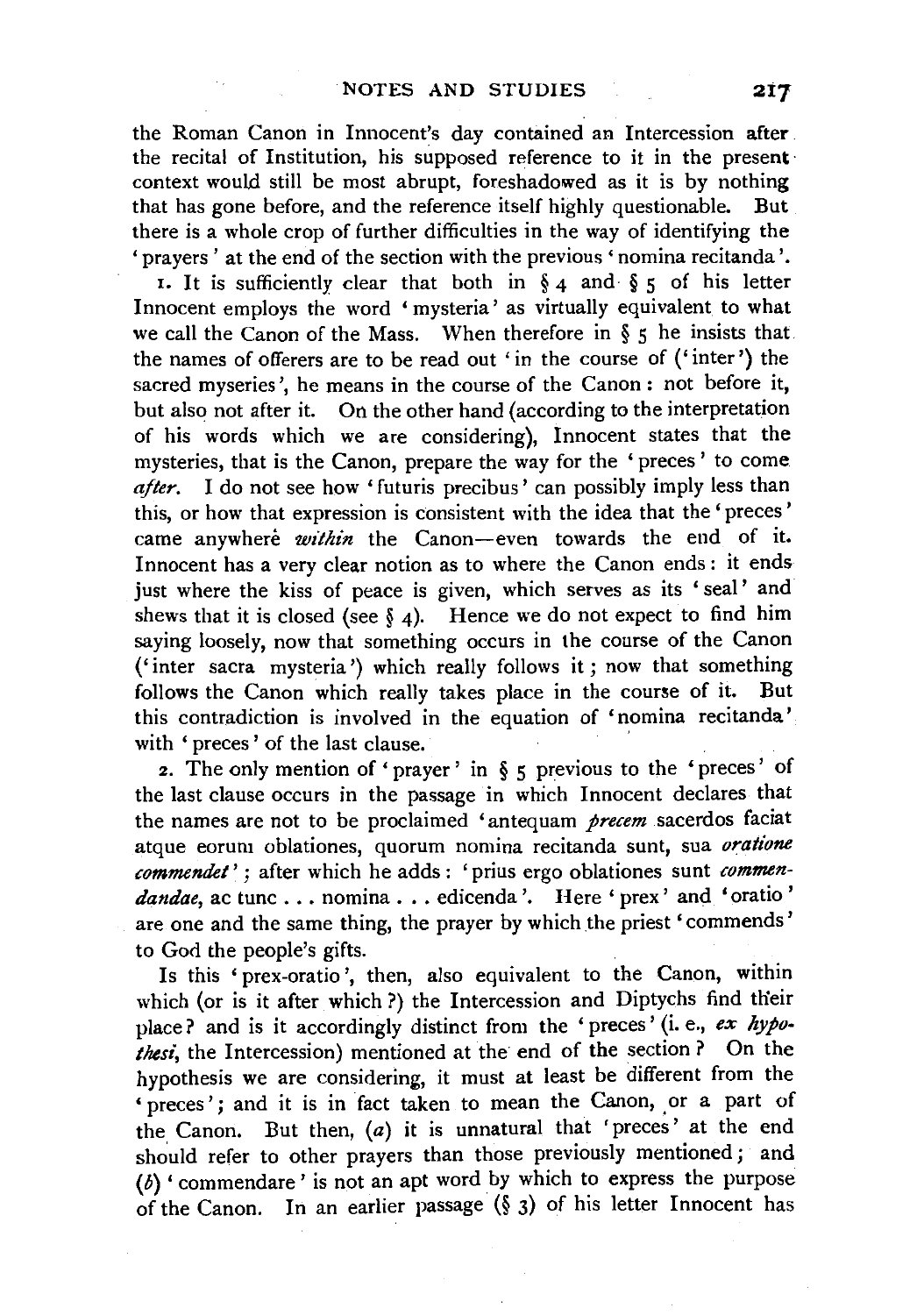the Roman Canon in Innocent's day contained an Intercession after the recital of Institution, his supposed reference to it in the present· context would still be most abrupt, foreshadowed as it is by nothing that has gone before, and the reference itself highly questionable. But there is a whole crop of further difficulties in the way of identifying the 'prayers ' at the end of the section with the previous 'nomina recitanda '.

I. It is sufficiently clear that both in § 4 and § 5 of his letter Innocent employs the word 'mysteria' as virtually equivalent to what we call the Canon of the Mass. When therefore in  $\S$   $\zeta$  he insists that the names of offerers are to be read out 'in the course of ('inter') the sacred myseries', he means in the course of the Canon: not before it, but also not after it. On the other hand (according to the interpretation of his words which we are considering), Innocent states that the mysteries, that is the Canon, prepare the way for the 'preces ' to come *after.* I do not see how 'futuris precibus' can possibly imply less than this, or how that expression is consistent with the idea that the' preces' came anywhere *within* the Canon-even towards the end of it. Innocent has a very clear notion as to where the Canon ends : it ends just where the kiss of peace is given, which serves as its 'seal' and shews that it is closed (see  $\S$  4). Hence we do not expect to find him saying loosely, now that something occurs in the course of the Canon ('inter sacra mysteria ') which really follows it; now that something follows the Canon which really takes place in the course of it. But this contradiction is involved in the equation of 'nomina recitanda' with ' preces ' of the last clause. '

2. The only mention of 'prayer' in  $\S$  5 previous to the 'preces' of the last clause occurs in the passage in which Innocent declares that the names are not to be proclaimed 'antequam *precem* sacerdos faciat atque eorum oblationes, quorum nomina recitanda sunt, sua *oratione commendet'* ; after which he adds : 'prius ergo oblationes sunt *commen*dandae, ac tunc . . . nomina . . . edicenda '. Here ' prex' and ' oratio ' are one and the same thing, the prayer by which the priest 'commends' to God the people's gifts.

Is this 'prex-oratio ', then, also equivalent to the Canon, within which (or is it after which?) the Intercession and Diptychs find their place? and is it accordingly distinct from the 'preces' (i. e., *ex hypo*thest, the Intercession) mentioned at the end of the section ? On the hypothesis we are considering, it must at least be different from the ' preces'; and it is in fact taken to mean the Canon, or a part of the, Canon. But then, (a) it is unnatural that 'preces' at the end should refer to other prayers than those previously mentioned ; and (b) ' commendare' is not an apt word by which to express the purpose of the Canon. In an earlier passage (§ 3) of his letter Innocent has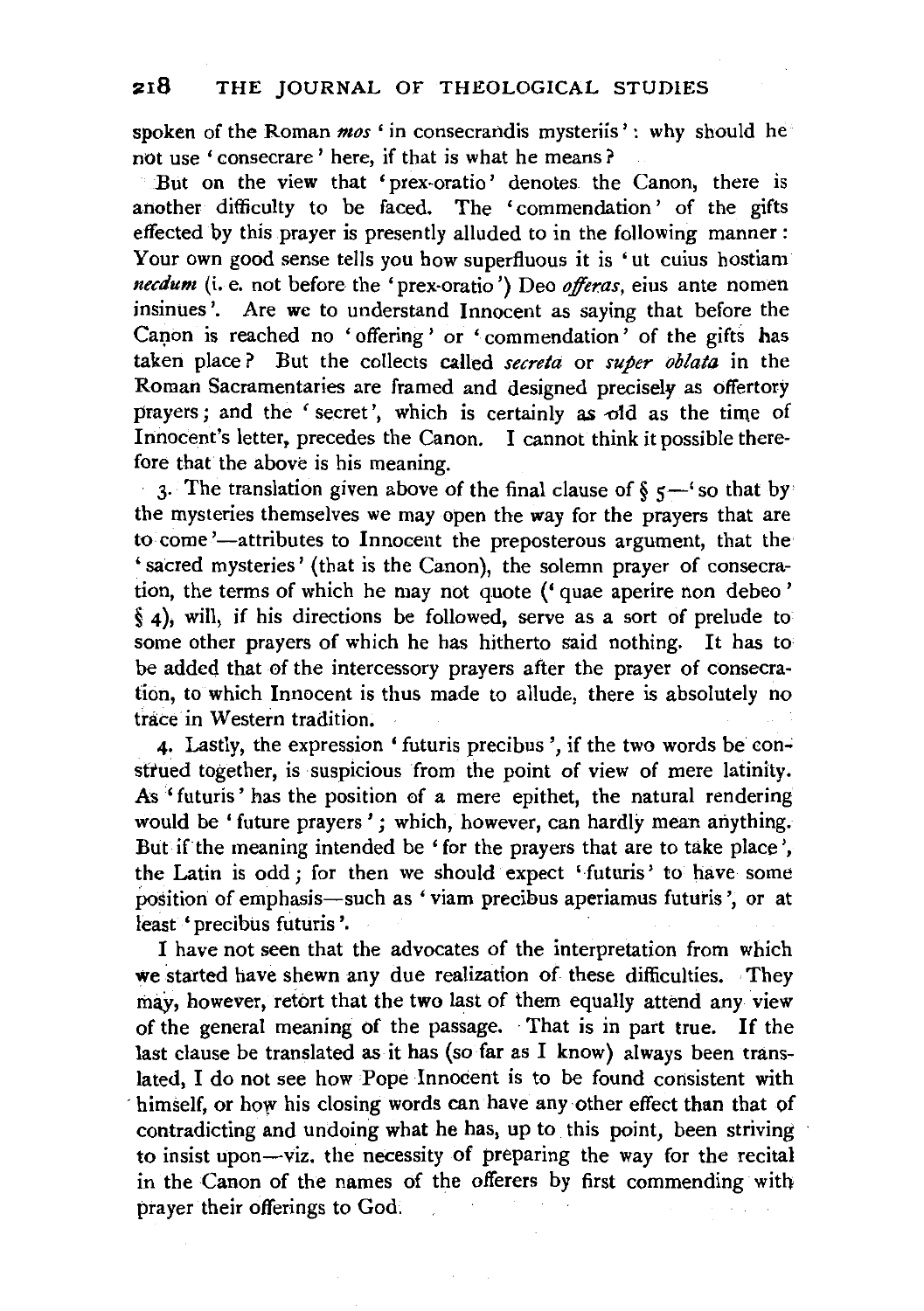spoken of the Roman *mos* 'in consecrandis mysteriis': why should he *not* use ' consecrare ' here, if that is what he means ?

But on the view that 'prex-oratio' denotes the Canon, there is another difficulty to be faced. The ' commendation ' of the gifts effected by this prayer is presently alluded to in the following manner : Your own good sense tells you how superfluous it is 'ut cuius hostiam *necdum* (i. e. not before the 'prex-oratio') Deo *offeras*, eius ante nomen insinues '. Are we to understand Innocent as saying that before the Canon is reached no 'offering' or 'commendation' of the gifts has taken place ? But the collects called *secreta* or *super oblata* in the Roman Sacramentaries are framed and designed precisely as offertory prayers; and the ' secret', which is certainly as  $\sigma$ ld as the time of Innocent's letter, precedes the Canon. I cannot think it possible therefore that the above is his meaning.

3. The translation given above of the final clause of  $\S$   $5$ —<sup>4</sup> so that by the mysteries themselves we may open the way for the prayers that are to come '-attributes to Innocent the preposterous argument, that the 'sacred mysteries' (that is the Canon), the solemn prayer of consecration, the terms of which he may not quote (' quae aperire non debeo' § 4), will, if his directions be followed, serve as a sort of prelude to some other prayers of which he has hitherto said nothing. It has to be added that of the intercessory prayers after the prayer of consecration, to which Innocent is thus made to allude, there is absolutely no trace in Western tradition.

4. Lastly, the expression ' futuris precibus', if the two words be construed together, is suspicious from the point of view of mere latinity. As ' futuris' has the position of a mere epithet, the natural rendering would be 'future prayers '; which, however, can hardly mean anything. But if the meaning intended be 'for the prayers that are to take place', the Latin is odd; for then we should expect ' futuris' to have some position of emphasis-such as 'viam precibus aperiamus futuris', or at least 'precibus futuris '.

I have not seen that the advocates of the interpretation from which we started have shewn any due realization of these difficulties. They may, however, retort that the two last of them equally attend any view of the general meaning of the passage. That is in part true. If the last clause be translated as it has (so far as I know) always been translated, I do not see how Pope Innocent is to be found consistent with himself, or how his closing words can have any other effect than that of contradicting and undoing what he has, up to this point, been striving to insist upon-viz. the necessity of preparing the way for the recital in the Canon of the names of the offerers by first commending with prayer their offerings to God.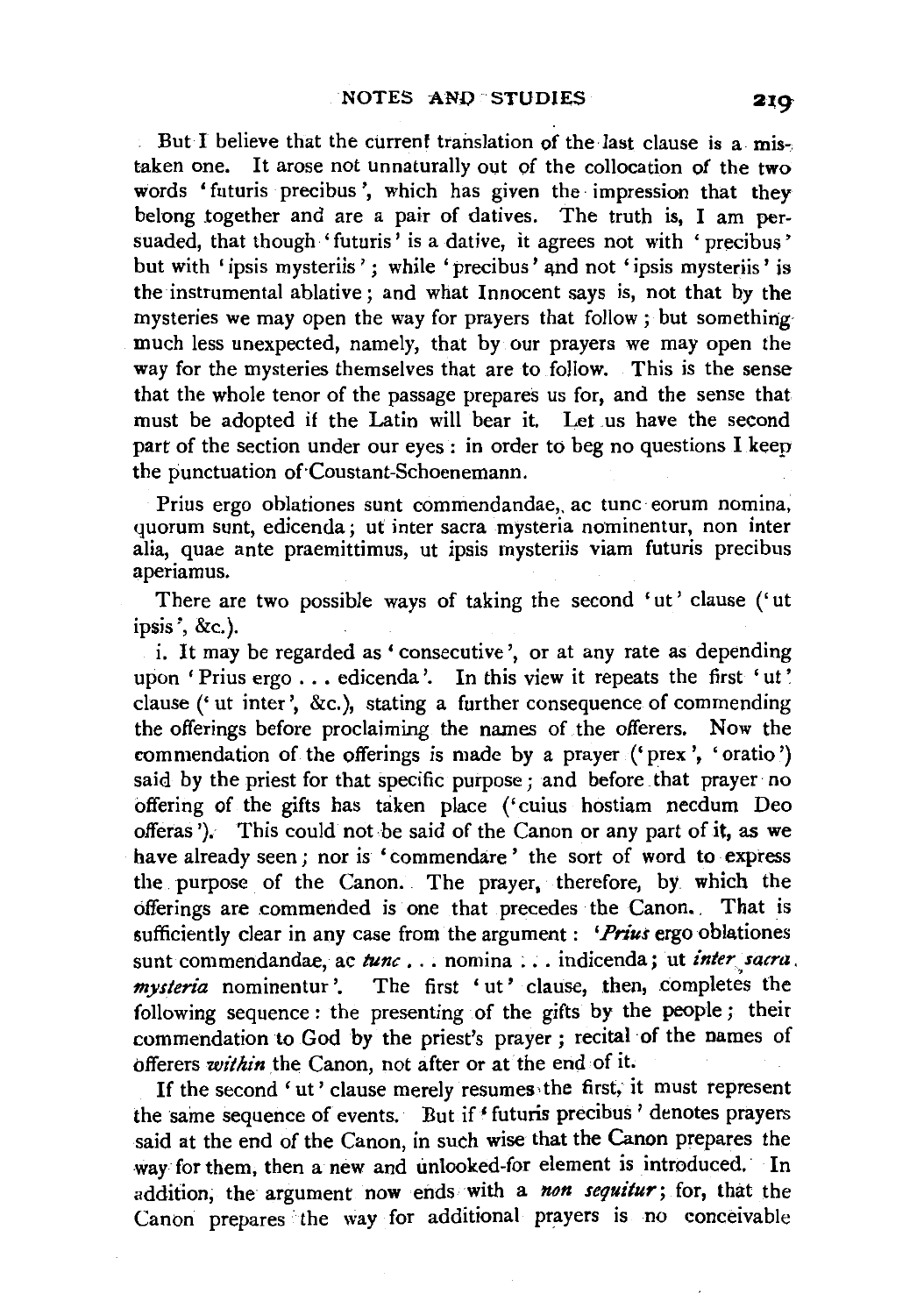But I believe that the current translation of the last clause is a mistaken one. It arose not unnaturally out of the collocation of the two words 'futuris precibus', which has given the impression that they belong together and are a pair of datives. The truth is, I am persuaded, that though 'futuris' is a dative, it agrees not with 'precibus' but with 'ipsis mysteriis'; while 'precibus' and not 'ipsis mysteriis' is the instrumental ablative; and what Innocent says is, not that by the mysteries we may open the way for prayers that follow; but something· much less unexpected, namely, that by our prayers we may open the way for the mysteries themselves that are to follow. This is the sense that the whole tenor of the passage prepares us for, and the sense that must be adopted if the Latin will bear it. Let us have the second part of the section under our eyes : in order to beg no questions I keep the punctuation of'Coustant-Schoenemann.

Prius ergo oblationes sunt commendandae,, ac tunc eorum nomina, quorum sunt, edicenda; ut inter sacra mysteria nominentur, non inter alia, quae ante praemittimus, ut ipsis mysteriis viam futuris precibus aperiamus.

There are two possible ways of taking the second 'ut' clause (' ut ipsis ', &c.).

i. It may be regarded as 'consecutive', or at any rate as depending upon ' Prius ergo . . . edicenda '. In this view it repeats the first 'ut' clause (' ut inter', &c.), stating a further consequence of commending the offerings before proclaiming the names of the offerers. Now the commendation of the offerings is made by a prayer (' prex ', 'oratio ') said by the priest for that specific purpose; and before that prayer no offering of the gifts has taken place ('cuius hostiam necdum Deo offeras '). This could not be said of the Canon or any part of it, as we have already seen; nor is 'commendare' the sort of word to express the purpose of the Canon. The prayer, therefore, by which the offerings are commended is one that precedes the Canon. That is sufficiently clear in any case from the argument : *'Prius* ergo oblationes sunt commendandae, ac *tunc* . . . nomina . . . indicenda; ut *inter sacra*, mysteria nominentur'. The first 'ut' clause, then, completes the following sequence : the presenting of the gifts by the people ; their commendation to God by the priest's prayer ; recital of the names of offerers *within* the Canon, not after or at the end of it.

If the second 'ut' clause merely resumes the first, it must represent the same sequence of events. But if ' futuris precibus' denotes prayers said at the end of the Canon, in such wise that the Canon prepares the way for them, then a new and unlooked-for element is introduced. In addition, the argument now ends with a *non sequitur;* for, that the Canon prepares the way for additional prayers is no conceivable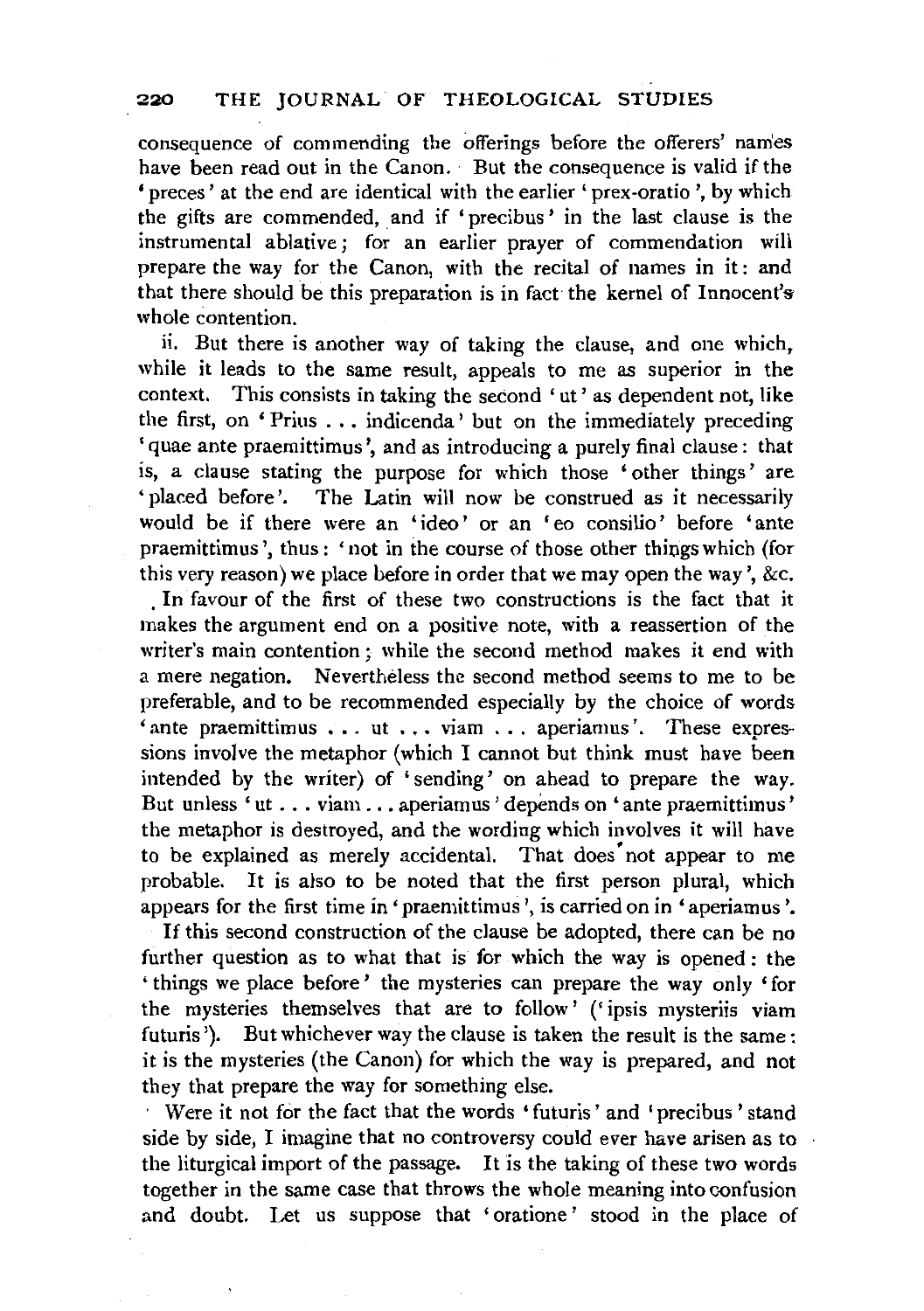consequence of commending the offerings before the otferers' names have been read out in the Canon. But the consequence is valid if the 'preces' at the end are identical with the earlier' prex-oratio ',by which the gifts are commended, and if 'precibus' in the last clause is the instrumental ablative; for an earlier prayer of commendation will prepare the way for the Canon, with the recital of names in it : and that there should be this preparation is in fact the kernel of Innocent's whole contention.

ii. But there is another way of taking the clause, and one which, while it leads to the same result, appeals to me as superior in the context. This consists in taking the second 'ut' as dependent not, like the first, on 'Prius ... indicenda' but on the immediately preceding 'quae ante praemittimus ', and as introducing a purely final clause: that is, a clause stating the purpose for which those 'other things' are 'placed before'. The Latin will now be construed as it necessarily would be if there were an 'ideo' or an 'eo consilio' before 'ante praemittimus', thus: 'not in the course of those other things which (for this very reason) we place before in order that we may open the way', &c.

In favour of the first of these two constructions is the fact that it makes the argument end on a positive note, with a reassertion of the writer's main contention; while the second method makes it end with a mere negation. Nevertheless the second method seems to me to be preferable, and to be recommended especially by the choice of words  $\cdot$ ante praemittimus ... ut ... viam ... aperiamus'. These expressions involve the metaphor (which I cannot but think must have been intended by the writer) of 'sending' on ahead to prepare the way. But unless 'ut ... viam ... aperiamus' depends on 'ante praemittimus' the metaphor is destroyed, and the wording which involves it will have to be explained as merely accidental. That does not appear to me probable. It is also to be noted that the first person plural, which appears for the first time in 'praemittimus', is carried on in 'aperiamus'.

If this second construction of the clause be adopted, there can be no further question as to what that is for which the way is opened : the ' things we place before' the mysteries can prepare the way only 'for the mysteries themselves that are to follow' (' ipsis mysteriis viam futuris '). But whichever way the clause is taken the result is the same : it is the mysteries (the Canon) for which the way is prepared, and not they that prepare the way for something else.

· Were it not for the fact that the words 'futuris' and 'precibus' stand side by side, I imagine that no controversy could ever have arisen as to the liturgical import of the passage. It is the taking of these two words together in the same case that throws the whole meaning into confusion and doubt. Let us suppose that 'oratione' stood in the place of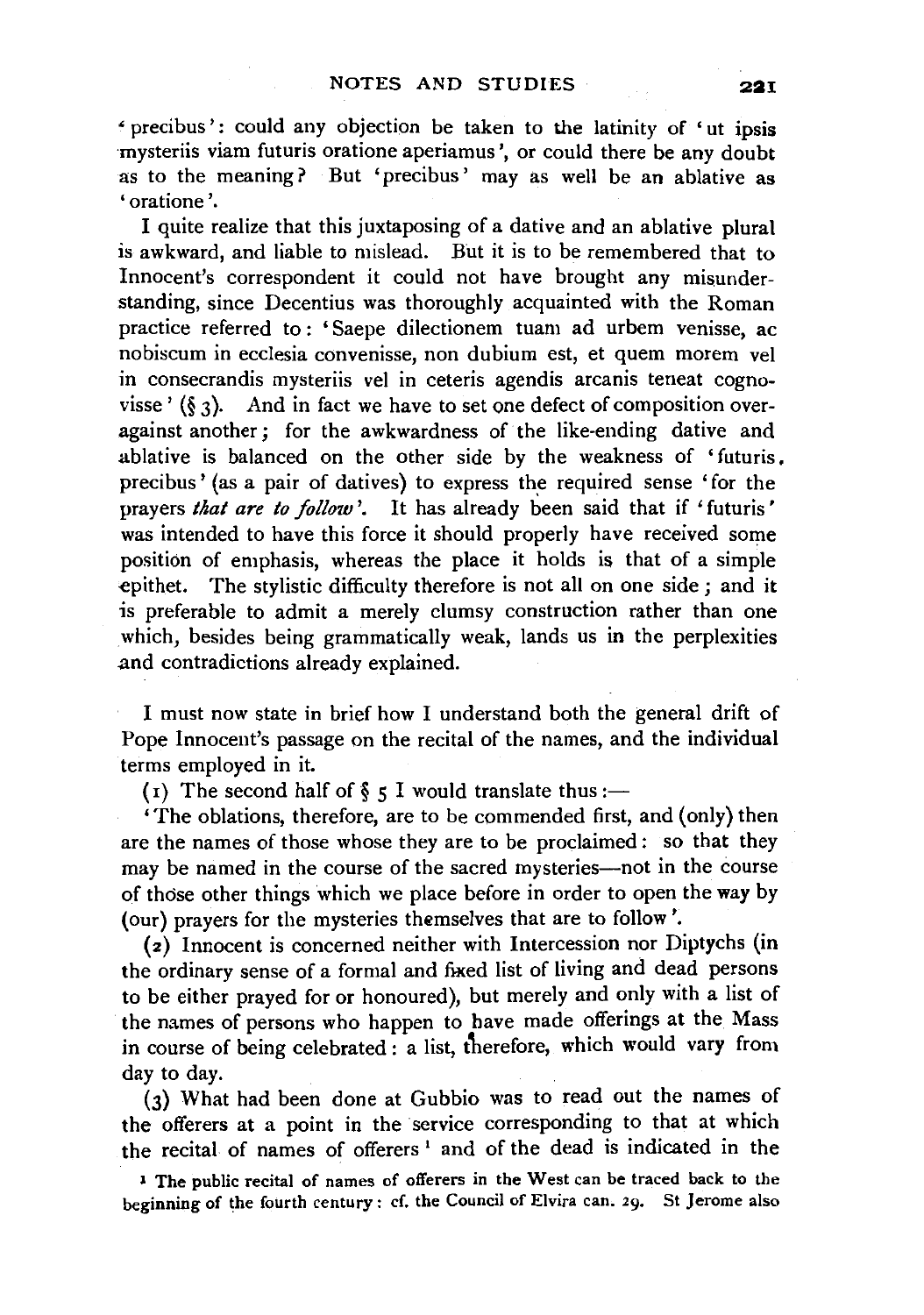• precibus': could any objection be taken to the latinity of 'ut 1ps1s mysteriis viam futuris oratione aperiamus ', or could there be any doubt as to the meaning? But 'precibus' may as well be an ablative as ' oratione '.

I quite realize that this juxtaposing of a dative and an ablative plural is awkward, and liable to mislead. But it is to be remembered that to Innocent's correspondent it could not have brought any misunderstanding, since Decentius was thoroughly acquainted with the Roman practice referred to : 'Saepe dilectionem tuam ad urbem venisse, ac nobiscum in ecclesia convenisse, non dubium est, et quem morem vel in consecrandis mysteriis vel in ceteris agendis arcanis teneat cognovisse'  $(\xi, \zeta)$ . And in fact we have to set one defect of composition overagainst another; for the awkwardness of the like-ending dative and ablative is balanced on the other side by the weakness of 'futuris. precibus' (as a pair of datives) to express the required sense 'for the prayers *that are to follow'*. It has already been said that if 'futuris' was intended to have this force it should properly have received some position of emphasis, whereas the place it holds is that of a simple -epithet. The stylistic difficulty therefore is not all on one side; and it is preferable to admit a merely clumsy construction rather than one which, besides being grammatically weak, lands us in the perplexities .and contradictions already explained.

I must now state in brief how I understand both the general drift of Pope Innocent's passage on the recital of the names, and the individual terms employed in it.

(1) The second half of  $\S$  5 I would translate thus:—

'The oblations, therefore, are to be commended first, and (only) then are the names of those whose they are to be proclaimed: so that they may be named in the course of the sacred mysteries--not in the course of those other things which we place before in order to open the way by (our) prayers for the mysteries themselves that are to follow'.

(2) Innocent is concerned neither with Intercession nor Diptychs (in the ordinary sense of a formal and fixed list of living and dead persons to be either prayed for or honoured), but merely and only with a list of the names of persons who happen to have made offerings at the Mass in course of being celebrated : a list, therefore, which would vary from day to day.

(3) What had been done at Gubbio was to read out the names of the offerers at a point in the service corresponding to that at which the recital of names of offerers<sup>1</sup> and of the dead is indicated in the

<sup>1</sup> The public recital of names of offerers in the West can be traced back to the beginning of the fourth century: cf. the Council of Elvira can. 29. St Jerome also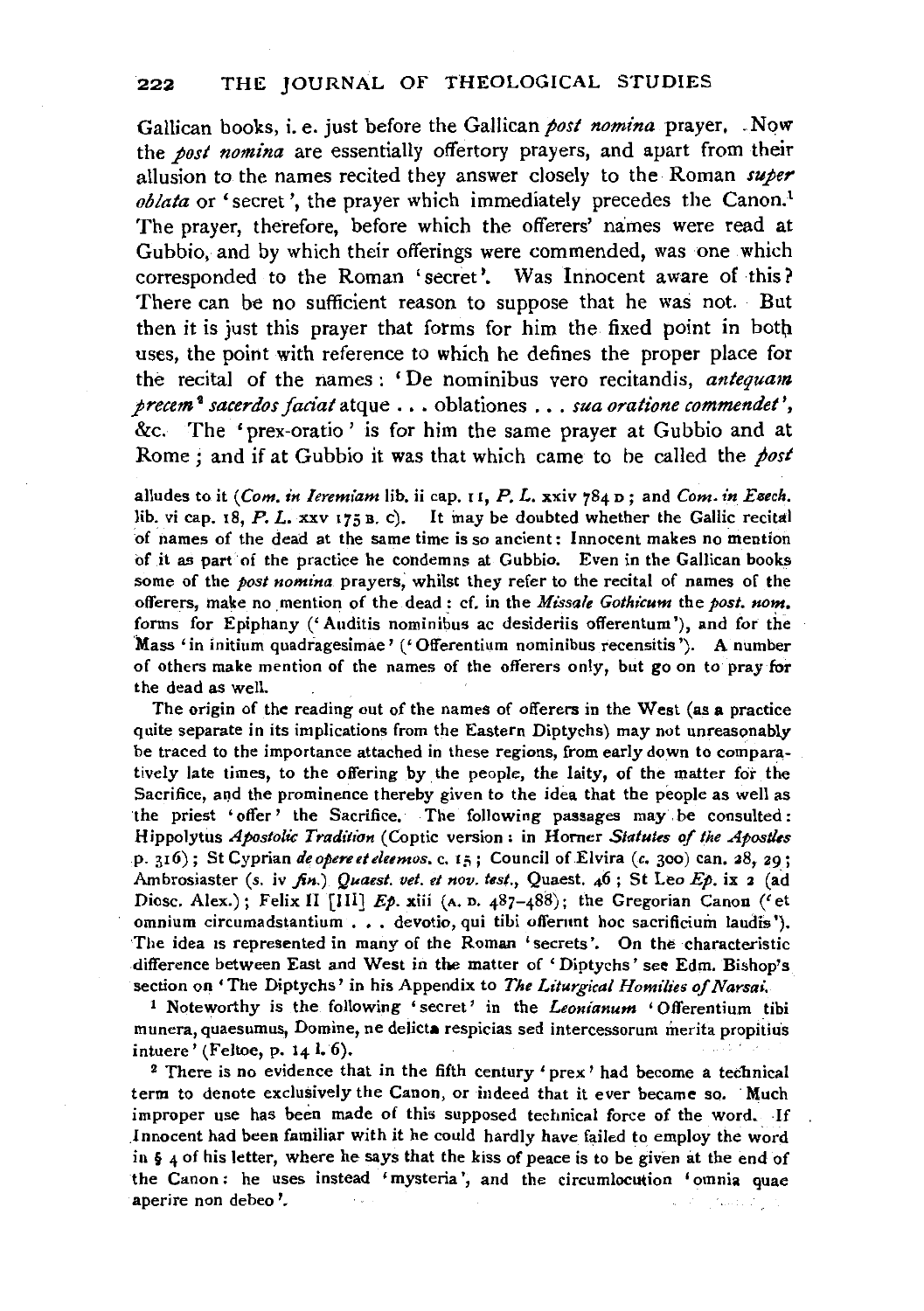Gallican books, i.e. just before the Gallican *post nomina* prayer. .Now the *post nomina* are essentially offertory prayers, and apart from their allusion to the names recited they answer closely to the Roman *super oblata* or 'secret', the prayer which immediately precedes the Canon.<sup>1</sup> The prayer, therefore, before which the offerers' names were read at Gubbio, and by which their offerings were commended, was one which corresponded to the Roman 'secret'. Was Innocent aware of this? There can be no sufficient reason to suppose that he was not. But then it is just this prayer that fotms for him the fixed point in botb. uses, the point with reference to which he defines the proper place for the recital of the names : 'De nominibus vero recitandis, *antequam precem* <sup>2</sup>*sacerdos facial* atque ... oblationes ... *sua oratione commendet* ', &c. The 'prex-oratio ' is for him the same prayer at Gubbio and at Rome; and if at Gubbio it was that which came to he called the *post* 

alludes to it *(Com. in Ieremiam lib. ii cap. 11, P. L. xxiv 784 p; and Com. in Esech.* lib. vi cap. 18, P. *L.* xxv 175 B, c). It may be doubted whether the Gallic recital of names of the dead at the same time is so ancient: Innocent makes no mention of it as part of the practice he condemns at Gubbio. Even in the Gallican books some of the *post nomina* prayers, whilst they refer to the recital of names of the offerers, make no mention of the dead : cf. in the *Missale Gothicum* the *post. nom.*  forms for Epiphany (' Auditis nominibus ac desideriis offerentum '), and for the 'Mass 'in initium quadragesimae' (' Offerentium nominibus recensitis '). A number of others make mention of the names of the offerers only, but go on to pray for the dead as well.

The origin of the reading out of the names of offerers in the West (as a practice quite separate in its implications from the Eastern Diptychs) may not unreasonably be traced to the importance attached in these regions, from early down to comparatively late times, to the offering by the people, the laity, of the matter for the Sacrifice, and the prominence thereby given to the idea that the people as well as the priest 'offer' the Sacrifice. The following passages may. be consulted : Hippolytus *Apostolic Tradition* (Coptic version: in Horner *Statutes of the Apostles*  p. 316); St Cyprian *deopereeteleemos.* c. 15; Council of.Elvira *(c.* 300) can. 28, 29; Ambrosiaster (s. iv *fin.) Quaest. vet. et nov. test.,* Quaest. 46; St Leo *Ep.* ix 2 (ad Diosc. Alex.); Felix II [III] *Ep.* xiii (A. p. 487-488); the Gregorian Canon ('et omnium circumadstantium . . . devotio, qui tibi offerunt hoc sacrificium laudis '). The idea is represented in many of the Roman 'secrets'. On the characteristic difference between East and West in tbe matter of 'Diptychs' see Edm. Bishop's section on 'The Diptychs' in his Appendix to *The Liturgical Homilies of Narsai.* 

1 Noteworthy is the following 'secret' in the *Leonianum* 'Offerentium tibi munera, quaesumus, Domine, ne delicta respicias sed intercessorum merita propiiius intuere' (Feltoe, p. 14 l. 6).

2 There is no evidence that in the fifth century 'prex' had become a technical term to denote exclusively the Canon, or indeed that it ever became so. Much improper use has been made of this supposed technical force of the word. .If Innocent had been familiar with *it* he could hardly have failed to employ the word in § 4 of his letter, where he says that the kiss of peace is to be given at the end of the Canon : he uses instead 'mysteria ', and the circumlocution 'omnia quae aperire non debeo '.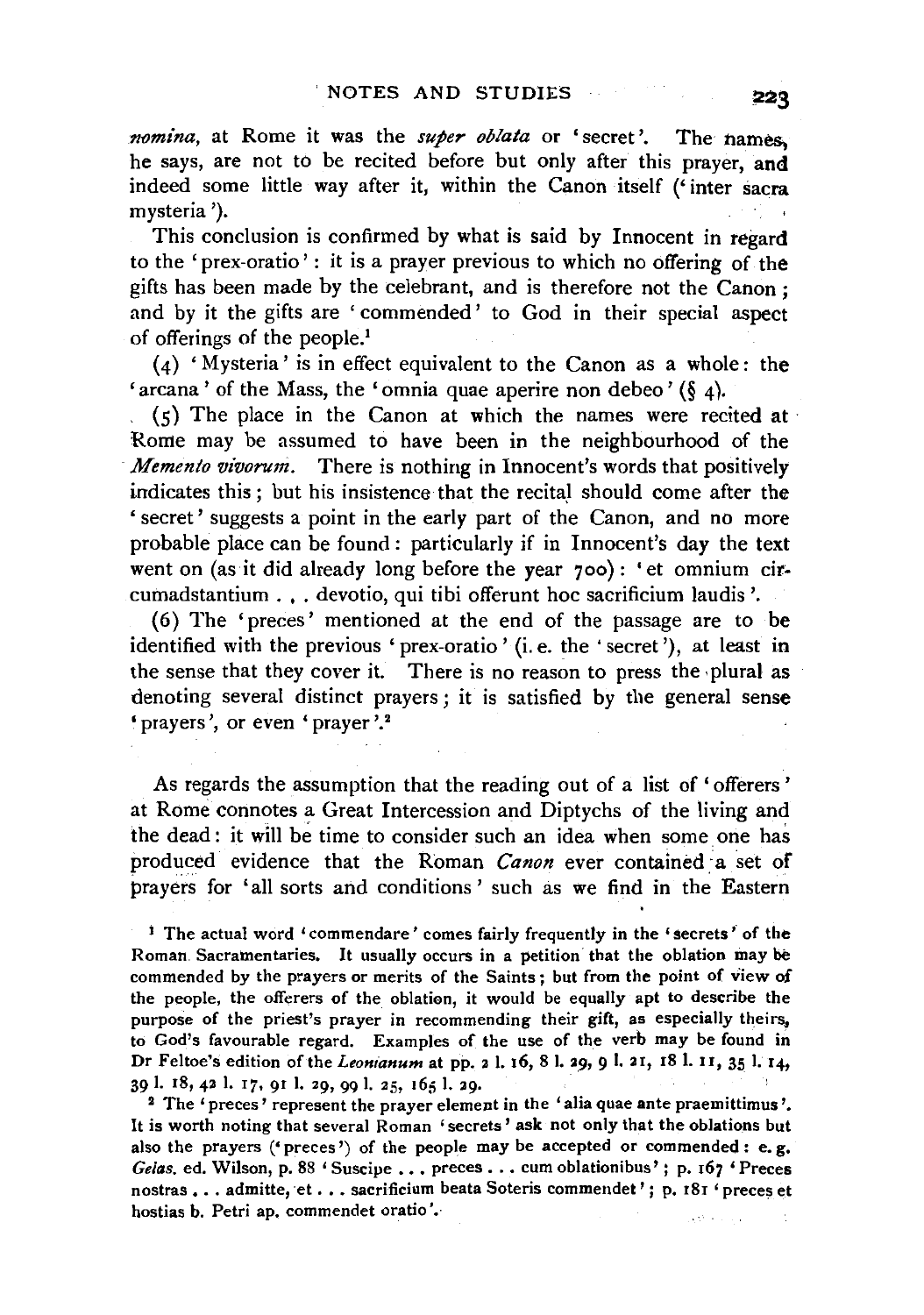*nomina,* at Rome it was the *super oblata* or 'secret'. The names, he says, are not to be recited before but only after this prayer, and indeed some little way after it, within the Canon itself ('inter sacra mysteria ').

This conclusion is confirmed by what is said by Innocent in regard to the 'prex-oratio' : it is a prayer previous to which no offering of the gifts has been made by the celebrant, and is therefore not the Canon: and by it the gifts are ' commended' to God in their special aspect of offerings of the people.1

(4) 'Mysteria' is in effect equivalent to the Canon as a whole: the 'arcana' of the Mass, the 'omnia quae aperire non debeo' (§ 4).

 $(5)$  The place in the Canon at which the names were recited at Rome may be assumed to have been in the neighbourhood of the *Memento vivorum.* There is nothing in Innocent's words that positively indicates this ; but his insistence that the recital should come after the ' secret' suggests a point in the early part of the Canon, and no more probable place can be found : particularly if in Innocent's day the text went on (as it did already long before the year 7oo): 'et omnium circumadstantium . , . devotio, qui tibi offerunt hoc sacrificium laudis '.

(6) The 'preces' mentioned at the end of the passage are to be identified with the previous 'prex-oratio' (i.e. the ' secret'), at least in the sense that they cover it. There is no reason to press the plural as denoting several distinct prayers; it is satisfied by the general sense 'prayers', or even 'prayer'.<sup>2</sup>

As regards the assumption that the reading out of a list of 'offerers' at Rome connotes a Great Intercession and Diptychs of the living and the dead: it will be time to consider such an idea when some one has produced evidence that the Roman *Canon* ever contained a set of prayers for 'all sorts and conditions' such as we find in the Eastern

<sup>1</sup> The actual word 'commendare' comes fairly frequently in the 'secrets' of the Roman. Sacramentaries. It usually occurs in a petition that the oblation may be commended by the prayers or merits of the Saints; but from the point of view of the people, the offerers of the oblation, it would be equally apt to describe the purpose of the priest's prayer in recommending their gift, as especially theirs, to God's favourable regard. Examples of the use of the verb may be found in Dr Feltoe's edition of the *Leonianum* at pp. 2 l. 16, 8 l. 29, 9 l. 21, 18 l. 11, 35 l. 14, 39 l. 18, 42 l. 17, 91 l. 29, 99 l. 25, 165 l. 29.

<sup>2</sup> The 'preces' represent the prayer element in the 'alia quae ante praemittimus'. It is worth noting that several Roman 'secrets' ask not only that the oblations but also the prayers ('preces') of the people may be accepted or commended: e.g. Gelas. ed. Wilson, p. 88 ' Suscipe . . . preces . . . cum oblationibus' ; p. 167 ' Preces nostras ... admitte, et ... sacrificium beata Soteris commendet'; p. 181 'preces et hostias b. Petri ap. commendet oratio'. astronomic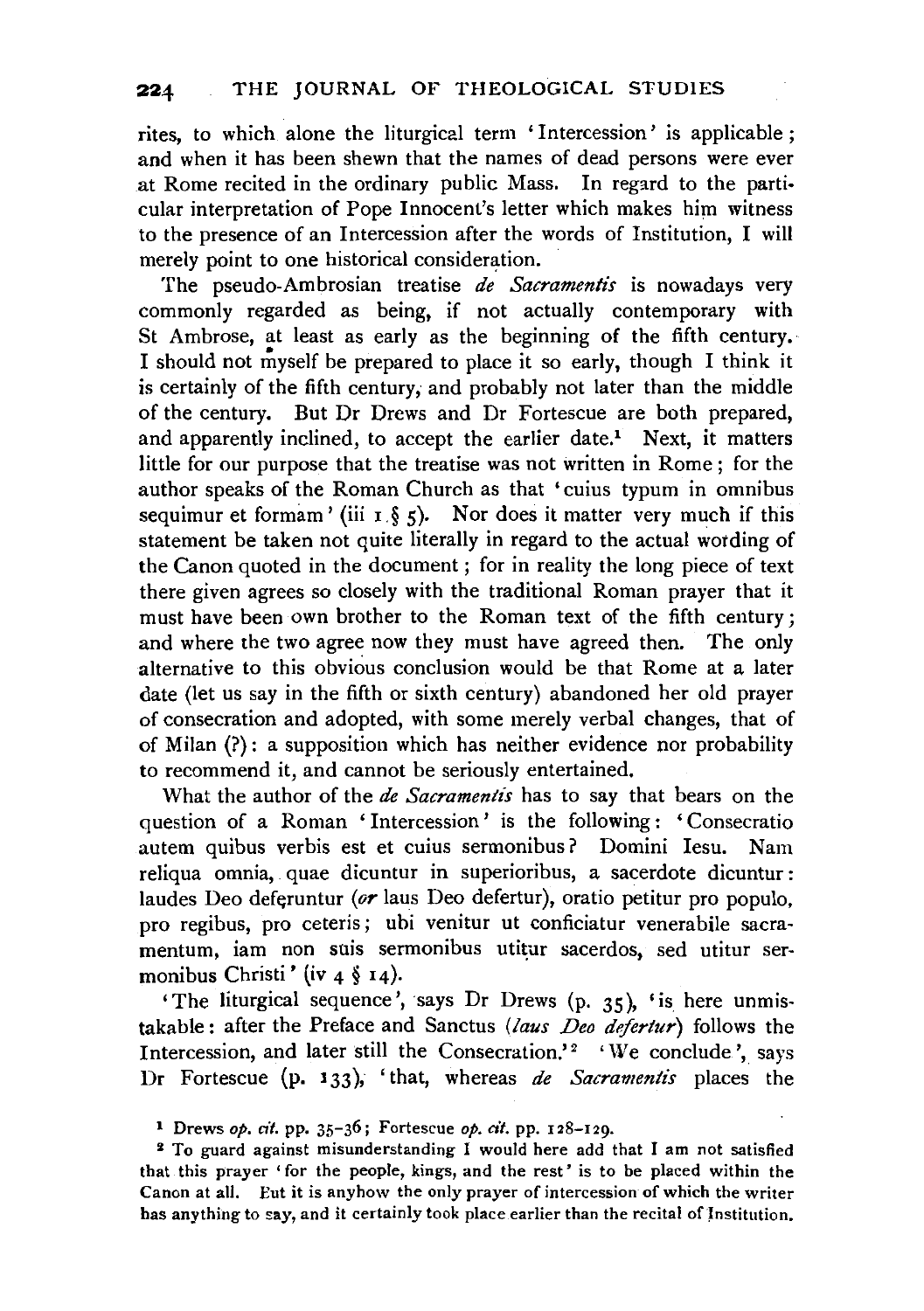rites, to which alone the liturgical term 'Intercession' is applicable ; and when it has been shewn that the names of dead persons were ever at Rome recited in the ordinary public Mass. In regard to the parti· cular interpretation of Pope Innocent's letter which makes him witness to the presence of an Intercession after the words of Institution, I will merely point to one historical consideration.

The pseudo-Ambrosian treatise *de Sacramentis* is nowadays very commonly regarded as being, if not actually contemporary with St Ambrose, at least as early as the beginning of the fifth century. I should not myself be prepared to place it so early, though I think it is certainly of the fifth century; and probably not later than the middle of the century. But Dr Drews and Dr Fortescue are both prepared, and apparently inclined, to accept the earlier date.<sup>1</sup> Next, it matters little for our purpose that the treatise was not written in Rome ; for the author speaks of the Roman Church as that 'cuius typum in omnibus sequimur et formam' (iii  $1 \S 5$ ). Nor does it matter very much if this statement be taken not quite literally in regard to the actual wotding of the Canon quoted in the document ; for in reality the long piece of text there given agrees so closely with the traditional Roman prayer that it must have been own brother to the Roman text of the fifth century; and where the two agree now they must have agreed then. The only alternative to this obvious conclusion would be that Rome at a later date (let us say in the fifth or sixth century) abandoned her old prayer of consecration and adopted, with some merely verbal changes, that of of Milan (?): a supposition which has neither evidence nor probability to recommend it, and cannot be seriously entertained.

What the author of the *de Sacramentis* has to say that bears on the question of a Roman ' Intercession ' is the following : ' Consecratio autem quibus verbis est et cuius sermonibus? Domini Iesu. Nam reliqua omnia, quae dicuntur in superioribus, a sacerdote dicuntur: laudes Deo deferuntur (or laus Deo defertur), oratio petitur pro populo, pro regibus, pro ceteris; ubi venitur ut conficiatur venerabile sacramentum, iam non suis sermonibus utitur sacerdos, sed utitur sermonibus Christi' (iv  $4 \xi$  14).

'The liturgical sequence', says Dr Drews (p. 35), 'is here unmistakable: after the Preface and Sanctus *(laus Deo defertur)* follows the Intercession, and later still the Consecration.'<sup>2</sup> 'We conclude', says Dr Fortescue (p. 133), 'that, whereas *de Sacramentis* places the

<sup>1</sup> Drews *op. cit.* pp. 35-36; Fortescue *op, cit.* pp. 128-129.

<sup>2</sup> To guard against misunderstanding I would here add that I am not satisfied that this prayer 'for the people, kings, and the rest' is to be placed within the Canon at all. Eut it is anyhow the only prayer of intercession of which the writer has anything to say, and it certainly took place earlier than the recital of Institution.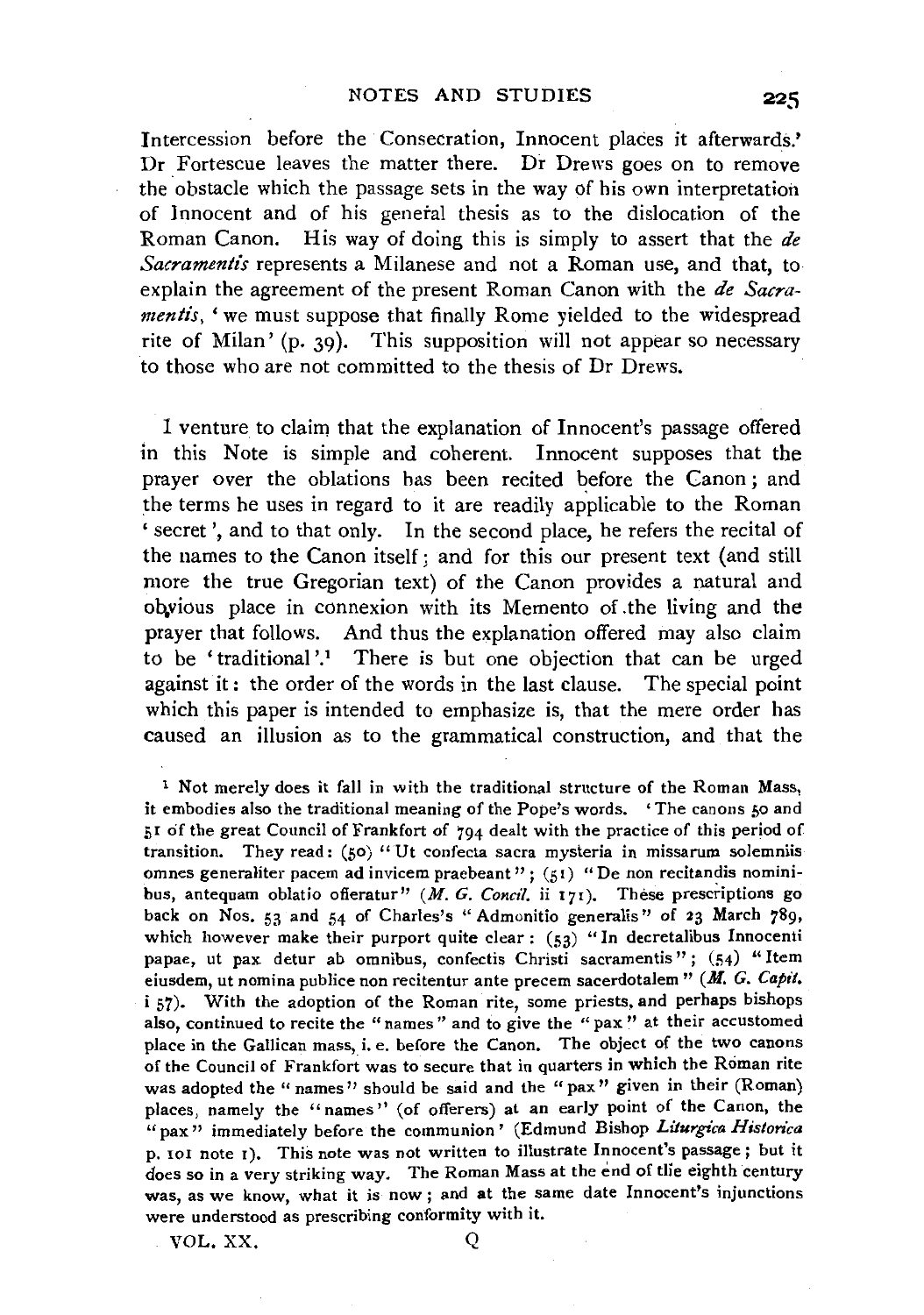Intercession before the Consecration, Innocent places it afterwards.'  $Dr$  Fortescue leaves the matter there.  $Dr$  Drews goes on to remove the obstacle which the passage sets in the way of his own interpretation of Innocent and of his general thesis as to the dislocation of the Roman Canon. His way of doing this is simply to assert that the *de Sacramentis* represents a Milanese and not a Roman use, and that, to explain the agreement of the present Roman Canon with the *de Sacramentis*, 'we must suppose that finally Rome yielded to the widespread rite of Milan' (p. 39). This supposition will not appear so necessary to those who are not committed to the thesis of Dr Drews.

I venture to claim that the explanation of Innocent's passage offered in this Note is simple and coherent. Innocent supposes that the prayer over the oblations has been recited before the Canon; and the terms he uses in regard to it are readily applicable to the Roman 'secret', and to that only. In the second place, he refers the recital of the names to the Canon itself; and for this our present text (and still more the true Gregorian text) of the Canon provides a natural and obvious place in connexion with its Memento of the living and the prayer that follows. And thus the explanation offered may also claim to be 'traditional '.1 There is but one objection that can be urged against it : the order of the words in the last clause. The special point which this paper is intended to emphasize is, that the mere order has caused an illusion as to the grammatical construction, and that the

<sup>1</sup> Not merely does it fall in with the traditional structure of the Roman Mass, it embodies also the traditional meaning of the *Pope's* words. ' The canons 50 and  $5I$  of the great Council of Frankfort of  $794$  dealt with the practice of this period of transition. They read: (50) "Ut confecta sacra mysteria in missarum solemniis omnes generaliter pacem ad invicem praebeant"; (51) "De non recitandis nominibus, antequam oblatio offeratur" (M. G. Concil. ii 171). These prescriptions go back on Nos. 53 and 54 of Charles's "Admonitio generalis" of 23 March 789, which however make their purport quite clear:  $(53)$  "In decretalibus Innocenti papae, ut pax detur ab omnibus, confectis Christi sacramentis"; (54) "Item eiusdem, ut nomina publice non recitentur ante precem sacerdotalem" (M. *G. Capit.*  i 57). With the adoption of the Roman rite, some priests, and perhaps bishops also, continued to recite the "names" and to give the " pax" at their accustomed place in the Gallican mass, i. e. before the Canon. The object of the two canons of the Council of Frankfort was to secure that in quarters in which the Roman rite was adopted the "names" should be said and the "pax" given in their (Roman) places, namely the "names" (of offerers) at an early point of the Canon, the "pax" immediately before the communion' (Edmund Bishop *Liturgica Historica*  p. ror note t). This note was not written to illustrate Innocent's passage; but it does so in a very striking way. The Roman Mass at the end of tlie eighth century was, as we know, what it is now; and at the same date Innocent's injunctions were understood as prescribing conformity with it.

VOL.XX. Q